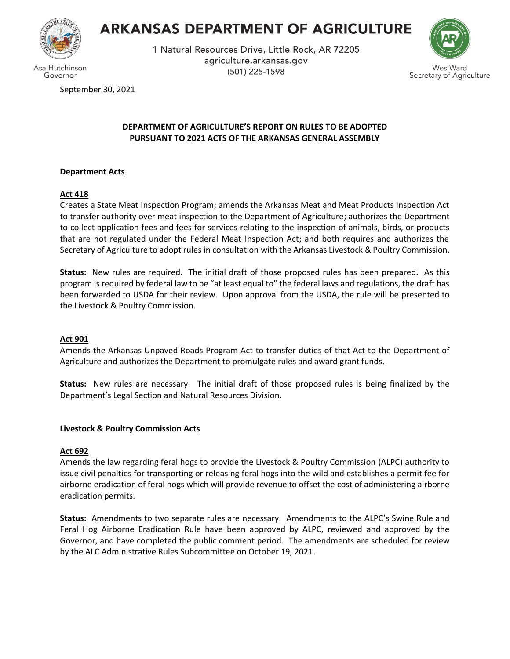

Governor

# **ARKANSAS DEPARTMENT OF AGRICULTURE**

1 Natural Resources Drive, Little Rock, AR 72205 agriculture.arkansas.gov (501) 225-1598



September 30, 2021

# **DEPARTMENT OF AGRICULTURE'S REPORT ON RULES TO BE ADOPTED PURSUANT TO 2021 ACTS OF THE ARKANSAS GENERAL ASSEMBLY**

# **Department Acts**

# **Act 418**

Creates a State Meat Inspection Program; amends the Arkansas Meat and Meat Products Inspection Act to transfer authority over meat inspection to the Department of Agriculture; authorizes the Department to collect application fees and fees for services relating to the inspection of animals, birds, or products that are not regulated under the Federal Meat Inspection Act; and both requires and authorizes the Secretary of Agriculture to adopt rules in consultation with the Arkansas Livestock & Poultry Commission.

**Status:** New rules are required. The initial draft of those proposed rules has been prepared. As this program is required by federal law to be "at least equal to" the federal laws and regulations, the draft has been forwarded to USDA for their review. Upon approval from the USDA, the rule will be presented to the Livestock & Poultry Commission.

## **Act 901**

Amends the Arkansas Unpaved Roads Program Act to transfer duties of that Act to the Department of Agriculture and authorizes the Department to promulgate rules and award grant funds.

**Status:** New rules are necessary. The initial draft of those proposed rules is being finalized by the Department's Legal Section and Natural Resources Division.

# **Livestock & Poultry Commission Acts**

# **Act 692**

Amends the law regarding feral hogs to provide the Livestock & Poultry Commission (ALPC) authority to issue civil penalties for transporting or releasing feral hogs into the wild and establishes a permit fee for airborne eradication of feral hogs which will provide revenue to offset the cost of administering airborne eradication permits.

**Status:** Amendments to two separate rules are necessary. Amendments to the ALPC's Swine Rule and Feral Hog Airborne Eradication Rule have been approved by ALPC, reviewed and approved by the Governor, and have completed the public comment period. The amendments are scheduled for review by the ALC Administrative Rules Subcommittee on October 19, 2021.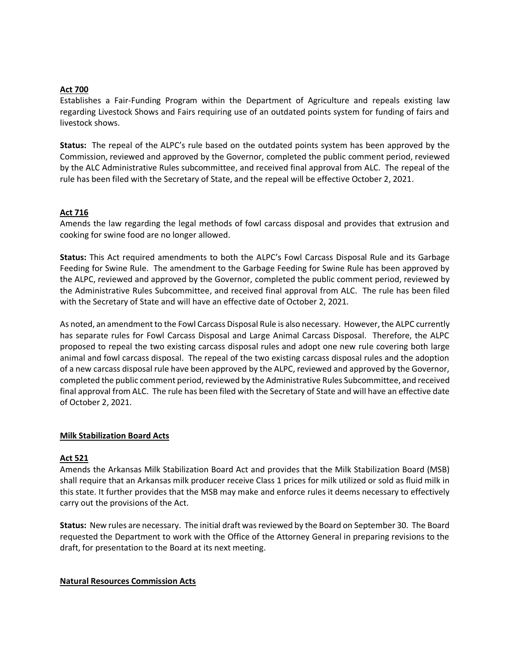#### **Act 700**

Establishes a Fair-Funding Program within the Department of Agriculture and repeals existing law regarding Livestock Shows and Fairs requiring use of an outdated points system for funding of fairs and livestock shows.

**Status:** The repeal of the ALPC's rule based on the outdated points system has been approved by the Commission, reviewed and approved by the Governor, completed the public comment period, reviewed by the ALC Administrative Rules subcommittee, and received final approval from ALC. The repeal of the rule has been filed with the Secretary of State, and the repeal will be effective October 2, 2021.

#### **Act 716**

Amends the law regarding the legal methods of fowl carcass disposal and provides that extrusion and cooking for swine food are no longer allowed.

**Status:** This Act required amendments to both the ALPC's Fowl Carcass Disposal Rule and its Garbage Feeding for Swine Rule. The amendment to the Garbage Feeding for Swine Rule has been approved by the ALPC, reviewed and approved by the Governor, completed the public comment period, reviewed by the Administrative Rules Subcommittee, and received final approval from ALC. The rule has been filed with the Secretary of State and will have an effective date of October 2, 2021.

As noted, an amendment to the Fowl Carcass Disposal Rule is also necessary. However, the ALPC currently has separate rules for Fowl Carcass Disposal and Large Animal Carcass Disposal. Therefore, the ALPC proposed to repeal the two existing carcass disposal rules and adopt one new rule covering both large animal and fowl carcass disposal. The repeal of the two existing carcass disposal rules and the adoption of a new carcass disposal rule have been approved by the ALPC, reviewed and approved by the Governor, completed the public comment period, reviewed by the Administrative Rules Subcommittee, and received final approval from ALC. The rule has been filed with the Secretary of State and will have an effective date of October 2, 2021.

#### **Milk Stabilization Board Acts**

## **Act 521**

Amends the Arkansas Milk Stabilization Board Act and provides that the Milk Stabilization Board (MSB) shall require that an Arkansas milk producer receive Class 1 prices for milk utilized or sold as fluid milk in this state. It further provides that the MSB may make and enforce rules it deems necessary to effectively carry out the provisions of the Act.

**Status:** New rules are necessary. The initial draft wasreviewed by the Board on September 30. The Board requested the Department to work with the Office of the Attorney General in preparing revisions to the draft, for presentation to the Board at its next meeting.

#### **Natural Resources Commission Acts**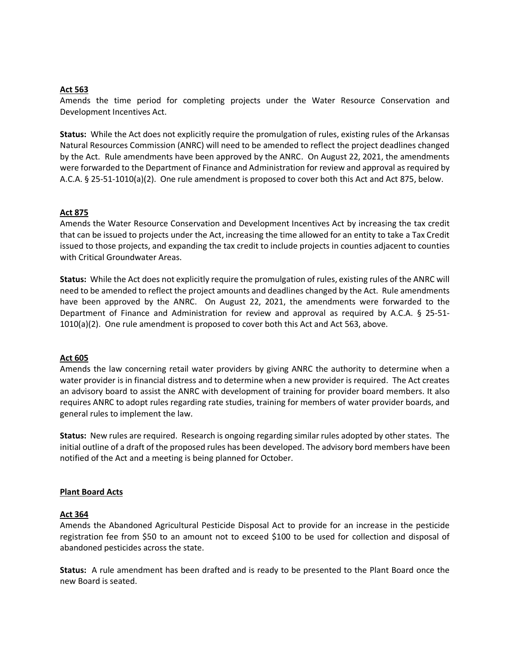## **Act 563**

Amends the time period for completing projects under the Water Resource Conservation and Development Incentives Act.

**Status:** While the Act does not explicitly require the promulgation of rules, existing rules of the Arkansas Natural Resources Commission (ANRC) will need to be amended to reflect the project deadlines changed by the Act. Rule amendments have been approved by the ANRC. On August 22, 2021, the amendments were forwarded to the Department of Finance and Administration for review and approval as required by A.C.A. § 25-51-1010(a)(2). One rule amendment is proposed to cover both this Act and Act 875, below.

## **Act 875**

Amends the Water Resource Conservation and Development Incentives Act by increasing the tax credit that can be issued to projects under the Act, increasing the time allowed for an entity to take a Tax Credit issued to those projects, and expanding the tax credit to include projects in counties adjacent to counties with Critical Groundwater Areas.

**Status:** While the Act does not explicitly require the promulgation of rules, existing rules of the ANRC will need to be amended to reflect the project amounts and deadlines changed by the Act. Rule amendments have been approved by the ANRC. On August 22, 2021, the amendments were forwarded to the Department of Finance and Administration for review and approval as required by A.C.A. § 25-51-  $1010(a)(2)$ . One rule amendment is proposed to cover both this Act and Act 563, above.

## **Act 605**

Amends the law concerning retail water providers by giving ANRC the authority to determine when a water provider is in financial distress and to determine when a new provider is required. The Act creates an advisory board to assist the ANRC with development of training for provider board members. It also requires ANRC to adopt rules regarding rate studies, training for members of water provider boards, and general rules to implement the law.

**Status:** New rules are required. Research is ongoing regarding similar rules adopted by other states. The initial outline of a draft of the proposed rules has been developed. The advisory bord members have been notified of the Act and a meeting is being planned for October.

## **Plant Board Acts**

#### **Act 364**

Amends the Abandoned Agricultural Pesticide Disposal Act to provide for an increase in the pesticide registration fee from \$50 to an amount not to exceed \$100 to be used for collection and disposal of abandoned pesticides across the state.

**Status:** A rule amendment has been drafted and is ready to be presented to the Plant Board once the new Board is seated.